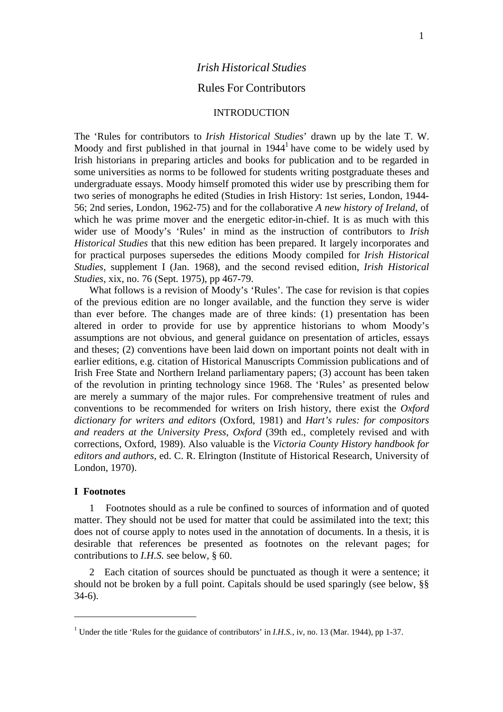# *Irish Historical Studies*

# Rules For Contributors

## INTRODUCTION

The 'Rules for contributors to *Irish Historical Studies*' drawn up by the late T. W. Moody and first published in that journal in  $1944<sup>1</sup>$  have come to be widely used by Irish historians in preparing articles and books for publication and to be regarded in some universities as norms to be followed for students writing postgraduate theses and undergraduate essays. Moody himself promoted this wider use by prescribing them for two series of monographs he edited (Studies in Irish History: 1st series, London, 1944- 56; 2nd series, London, 1962-75) and for the collaborative *A new history of Ireland*, of which he was prime mover and the energetic editor-in-chief. It is as much with this wider use of Moody's 'Rules' in mind as the instruction of contributors to *Irish Historical Studies* that this new edition has been prepared. It largely incorporates and for practical purposes supersedes the editions Moody compiled for *Irish Historical Studies*, supplement I (Jan. 1968), and the second revised edition, *Irish Historical Studies*, xix, no. 76 (Sept. 1975), pp 467-79.

What follows is a revision of Moody's 'Rules'. The case for revision is that copies of the previous edition are no longer available, and the function they serve is wider than ever before. The changes made are of three kinds: (1) presentation has been altered in order to provide for use by apprentice historians to whom Moody's assumptions are not obvious, and general guidance on presentation of articles, essays and theses; (2) conventions have been laid down on important points not dealt with in earlier editions, e.g. citation of Historical Manuscripts Commission publications and of Irish Free State and Northern Ireland parliamentary papers; (3) account has been taken of the revolution in printing technology since 1968. The 'Rules' as presented below are merely a summary of the major rules. For comprehensive treatment of rules and conventions to be recommended for writers on Irish history, there exist the *Oxford dictionary for writers and editors* (Oxford, 1981) and *Hart's rules: for compositors and readers at the University Press, Oxford* (39th ed., completely revised and with corrections, Oxford, 1989). Also valuable is the *Victoria County History handbook for editors and authors*, ed. C. R. Elrington (Institute of Historical Research, University of London, 1970).

#### **I Footnotes**

1 Footnotes should as a rule be confined to sources of information and of quoted matter. They should not be used for matter that could be assimilated into the text; this does not of course apply to notes used in the annotation of documents. In a thesis, it is desirable that references be presented as footnotes on the relevant pages; for contributions to *I.H.S.* see below, § 60.

2 Each citation of sources should be punctuated as though it were a sentence; it should not be broken by a full point. Capitals should be used sparingly (see below, §§ 34-6).

<span id="page-0-0"></span><sup>&</sup>lt;sup>1</sup> Under the title 'Rules for the guidance of contributors' in *I.H.S.*, iv, no. 13 (Mar. 1944), pp 1-37.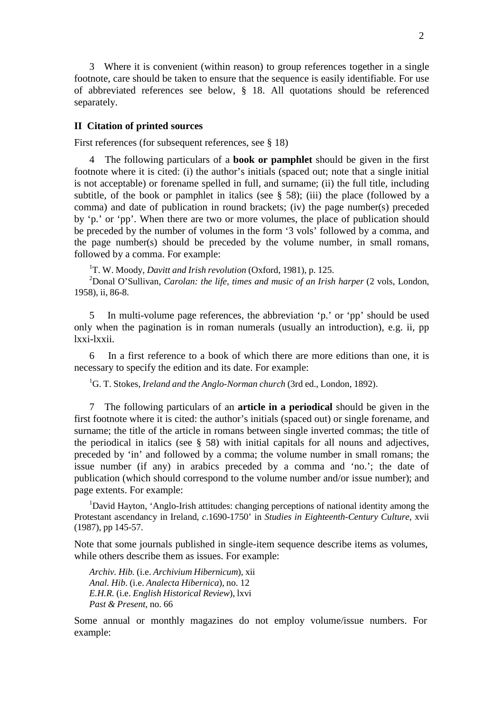3 Where it is convenient (within reason) to group references together in a single footnote, care should be taken to ensure that the sequence is easily identifiable. For use of abbreviated references see below, § 18. All quotations should be referenced separately.

### **II Citation of printed sources**

First references (for subsequent references, see § 18)

4 The following particulars of a **book or pamphlet** should be given in the first footnote where it is cited: (i) the author's initials (spaced out; note that a single initial is not acceptable) or forename spelled in full, and surname; (ii) the full title, including subtitle, of the book or pamphlet in italics (see  $\S$  58); (iii) the place (followed by a comma) and date of publication in round brackets; (iv) the page number(s) preceded by 'p.' or 'pp'. When there are two or more volumes, the place of publication should be preceded by the number of volumes in the form '3 vols' followed by a comma, and the page number(s) should be preceded by the volume number, in small romans, followed by a comma. For example:

1 T. W. Moody, *Davitt and Irish revolution* (Oxford, 1981), p. 125.

2 Donal O'Sullivan, *Carolan: the life, times and music of an Irish harper* (2 vols, London, 1958), ii, 86-8.

5 In multi-volume page references, the abbreviation 'p.' or 'pp' should be used only when the pagination is in roman numerals (usually an introduction), e.g. ii, pp lxxi-lxxii.

6 In a first reference to a book of which there are more editions than one, it is necessary to specify the edition and its date. For example:

1 G. T. Stokes, *Ireland and the Anglo-Norman church* (3rd ed., London, 1892).

7 The following particulars of an **article in a periodical** should be given in the first footnote where it is cited: the author's initials (spaced out) or single forename, and surname; the title of the article in romans between single inverted commas; the title of the periodical in italics (see § 58) with initial capitals for all nouns and adjectives, preceded by 'in' and followed by a comma; the volume number in small romans; the issue number (if any) in arabics preceded by a comma and 'no.'; the date of publication (which should correspond to the volume number and/or issue number); and page extents. For example:

<sup>1</sup>David Hayton, 'Anglo-Irish attitudes: changing perceptions of national identity among the Protestant ascendancy in Ireland, *c*.1690-1750' in *Studies in Eighteenth-Century Culture*, xvii (1987), pp 145-57.

Note that some journals published in single-item sequence describe items as volumes, while others describe them as issues. For example:

*Archiv. Hib.* (i.e. *Archivium Hibernicum*), xii *Anal. Hib*. (i.e. *Analecta Hibernica*), no. 12 *E.H.R.* (i.e. *English Historical Review*), lxvi *Past & Present*, no. 66

Some annual or monthly magazines do not employ volume/issue numbers. For example: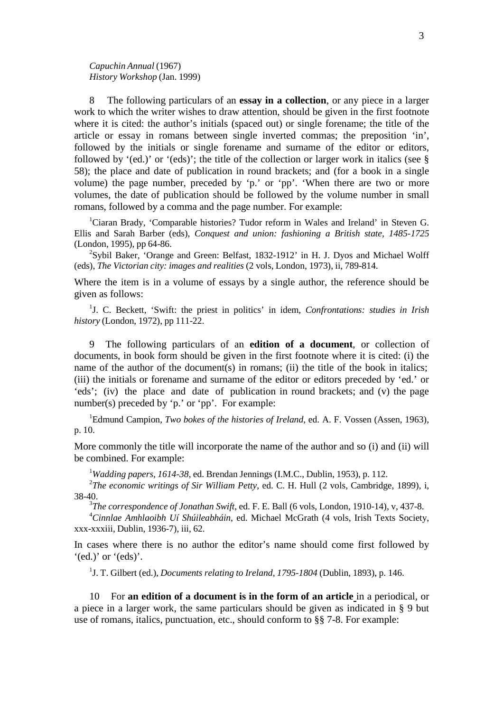*Capuchin Annual* (1967) *History Workshop* (Jan. 1999)

8 The following particulars of an **essay in a collection**, or any piece in a larger work to which the writer wishes to draw attention, should be given in the first footnote where it is cited: the author's initials (spaced out) or single forename; the title of the article or essay in romans between single inverted commas; the preposition 'in', followed by the initials or single forename and surname of the editor or editors, followed by '(ed.)' or '(eds)'; the title of the collection or larger work in italics (see  $\S$ 58); the place and date of publication in round brackets; and (for a book in a single volume) the page number, preceded by 'p.' or 'pp'. 'When there are two or more volumes, the date of publication should be followed by the volume number in small romans, followed by a comma and the page number. For example:

<sup>1</sup>Ciaran Brady, 'Comparable histories? Tudor reform in Wales and Ireland' in Steven G. Ellis and Sarah Barber (eds), *Conquest and union: fashioning a British state, 1485-1725* (London, 1995), pp 64-86.

<sup>2</sup>Sybil Baker, 'Orange and Green: Belfast, 1832-1912' in H. J. Dyos and Michael Wolff (eds), *The Victorian city: images and realities* (2 vols, London, 1973), ii, 789-814.

Where the item is in a volume of essays by a single author, the reference should be given as follows:

1 J. C. Beckett, 'Swift: the priest in politics' in idem, *Confrontations: studies in Irish history* (London, 1972), pp 111-22.

9 The following particulars of an **edition of a document**, or collection of documents, in book form should be given in the first footnote where it is cited: (i) the name of the author of the document(s) in romans; (ii) the title of the book in italics; (iii) the initials or forename and surname of the editor or editors preceded by 'ed.' or 'eds'; (iv) the place and date of publication in round brackets; and (v) the page number(s) preceded by 'p.' or 'pp'. For example:

1 Edmund Campion, *Two bokes of the histories of Ireland*, ed. A. F. Vossen (Assen, 1963), p. 10.

More commonly the title will incorporate the name of the author and so (i) and (ii) will be combined. For example:

1 *Wadding papers, 1614-38*, ed. Brendan Jennings (I.M.C., Dublin, 1953), p. 112.

2 *The economic writings of Sir William Petty*, ed. C. H. Hull (2 vols, Cambridge, 1899), i, 38-40.

3 *The correspondence of Jonathan Swift*, ed. F. E. Ball (6 vols, London, 1910-14), v, 437-8.

4 *Cinnlae Amhlaoibh Uí Shúileabháin*, ed. Michael McGrath (4 vols, Irish Texts Society, xxx-xxxiii, Dublin, 1936-7), iii, 62.

In cases where there is no author the editor's name should come first followed by  $'(ed.)'$  or  $'(eds)'$ .

1 J. T. Gilbert (ed.), *Documents relating to Ireland, 1795-1804* (Dublin, 1893), p. 146.

10 For **an edition of a document is in the form of an article** in a periodical, or a piece in a larger work, the same particulars should be given as indicated in § 9 but use of romans, italics, punctuation, etc., should conform to §§ 7-8. For example: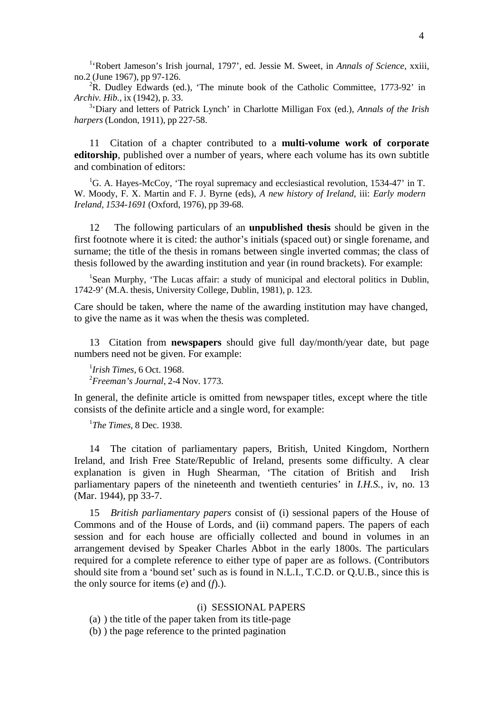1 'Robert Jameson's Irish journal, 1797', ed. Jessie M. Sweet, in *Annals of Science*, xxiii, no.2 (June 1967), pp 97-126.

 ${}^{2}$ R. Dudley Edwards (ed.), 'The minute book of the Catholic Committee, 1773-92' in *Archiv. Hib.*, ix (1942), p. 33.

3 'Diary and letters of Patrick Lynch' in Charlotte Milligan Fox (ed.), *Annals of the Irish harpers* (London, 1911), pp 227-58.

11 Citation of a chapter contributed to a **multi-volume work of corporate editorship**, published over a number of years, where each volume has its own subtitle and combination of editors:

<sup>1</sup>G. A. Hayes-McCoy, 'The royal supremacy and ecclesiastical revolution, 1534-47' in T. W. Moody, F. X. Martin and F. J. Byrne (eds), *A new history of Ireland*, iii: *Early modern Ireland, 1534-1691* (Oxford, 1976), pp 39-68.

12 The following particulars of an **unpublished thesis** should be given in the first footnote where it is cited: the author's initials (spaced out) or single forename, and surname; the title of the thesis in romans between single inverted commas; the class of thesis followed by the awarding institution and year (in round brackets). For example:

<sup>1</sup>Sean Murphy, 'The Lucas affair: a study of municipal and electoral politics in Dublin, 1742-9' (M.A. thesis, University College, Dublin, 1981), p. 123.

Care should be taken, where the name of the awarding institution may have changed, to give the name as it was when the thesis was completed.

13 Citation from **newspapers** should give full day/month/year date, but page numbers need not be given. For example:

1 *Irish Times*, 6 Oct. 1968. 2 *Freeman's Journal*, 2-4 Nov. 1773.

In general, the definite article is omitted from newspaper titles, except where the title consists of the definite article and a single word, for example:

1 *The Times*, 8 Dec. 1938.

14 The citation of parliamentary papers, British, United Kingdom, Northern Ireland, and Irish Free State/Republic of Ireland, presents some difficulty. A clear explanation is given in Hugh Shearman, 'The citation of British and Irish parliamentary papers of the nineteenth and twentieth centuries' in *I.H.S.*, iv, no. 13 (Mar. 1944), pp 33-7.

15 *British parliamentary papers* consist of (i) sessional papers of the House of Commons and of the House of Lords, and (ii) command papers. The papers of each session and for each house are officially collected and bound in volumes in an arrangement devised by Speaker Charles Abbot in the early 1800s. The particulars required for a complete reference to either type of paper are as follows. (Contributors should site from a 'bound set' such as is found in N.L.I., T.C.D. or Q.U.B., since this is the only source for items (*e*) and (*f*).).

# (i) SESSIONAL PAPERS

(a) ) the title of the paper taken from its title-page

(b) ) the page reference to the printed pagination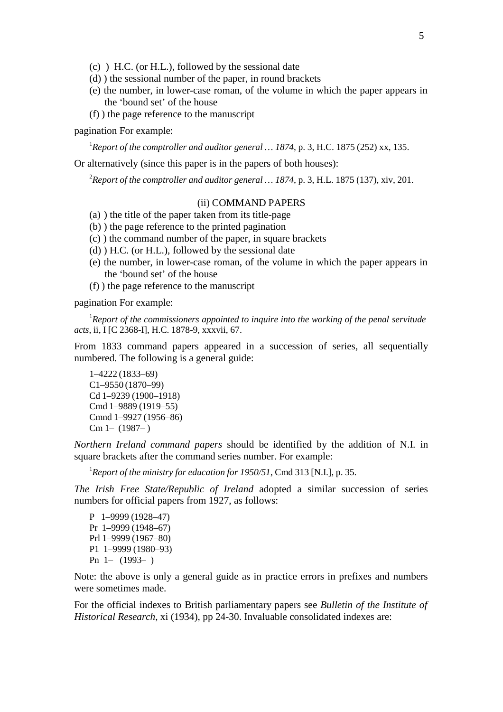- (c) ) H.C. (or H.L.), followed by the sessional date
- (d) ) the sessional number of the paper, in round brackets
- (e) the number, in lower-case roman, of the volume in which the paper appears in the 'bound set' of the house
- (f) ) the page reference to the manuscript

# pagination For example:

1 *Report of the comptroller and auditor general … 1874*, p. 3, H.C. 1875 (252) xx, 135.

Or alternatively (since this paper is in the papers of both houses):

2 *Report of the comptroller and auditor general … 1874*, p. 3, H.L. 1875 (137), xiv, 201.

### (ii) COMMAND PAPERS

- (a) ) the title of the paper taken from its title-page
- (b) ) the page reference to the printed pagination
- (c) ) the command number of the paper, in square brackets
- (d) ) H.C. (or H.L.), followed by the sessional date
- (e) the number, in lower-case roman, of the volume in which the paper appears in the 'bound set' of the house
- (f) ) the page reference to the manuscript

pagination For example:

1 *Report of the commissioners appointed to inquire into the working of the penal servitude acts*, ii, I [C 2368-I], H.C. 1878-9, xxxvii, 67.

From 1833 command papers appeared in a succession of series, all sequentially numbered. The following is a general guide:

1–4222 (1833–69) C1–9550 (1870–99) Cd 1–9239 (1900–1918) Cmd 1–9889 (1919–55) Cmnd 1–9927 (1956–86) Cm 1– (1987– )

*Northern Ireland command papers* should be identified by the addition of N.I. in square brackets after the command series number. For example:

1 *Report of the ministry for education for 1950/51*, Cmd 313 [N.I.], p. 35.

*The Irish Free State/Republic of Ireland* adopted a similar succession of series numbers for official papers from 1927, as follows:

P 1–9999 (1928–47) Pr 1–9999 (1948–67) Prl 1–9999 (1967–80) P1 1–9999 (1980–93) Pn 1– (1993– )

Note: the above is only a general guide as in practice errors in prefixes and numbers were sometimes made.

For the official indexes to British parliamentary papers see *Bulletin of the Institute of Historical Research*, xi (1934), pp 24-30. Invaluable consolidated indexes are: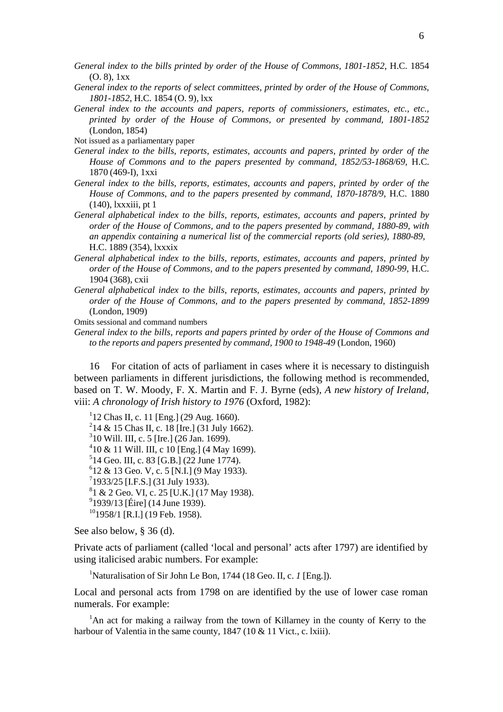- *General index to the bills printed by order of the House of Commons, 1801-1852*, H.C. 1854 (O. 8), 1xx
- *General index to the reports of select committees, printed by order of the House of Commons, 1801-1852*, H.C. 1854 (O. 9), lxx
- *General index to the accounts and papers, reports of commissioners, estimates, etc., etc., printed by order of the House of Commons, or presented by command, 1801-1852* (London, 1854)
- Not issued as a parliamentary paper
- *General index to the bills, reports, estimates, accounts and papers, printed by order of the House of Commons and to the papers presented by command, 1852/53-1868/69*, H.C. 1870 (469-I), 1xxi
- *General index to the bills, reports, estimates, accounts and papers, printed by order of the House of Commons, and to the papers presented by command, 1870-1878/9*, H.C. 1880 (140), lxxxiii, pt 1
- *General alphabetical index to the bills, reports, estimates, accounts and papers, printed by order of the House of Commons, and to the papers presented by command, 1880-89, with an appendix containing a numerical list of the commercial reports (old series), 1880-89*, H.C. 1889 (354), lxxxix
- *General alphabetical index to the bills, reports, estimates, accounts and papers, printed by order of the House of Commons, and to the papers presented by command, 1890-99*, H.C. 1904 (368), cxii
- *General alphabetical index to the bills, reports, estimates, accounts and papers, printed by order of the House of Commons, and to the papers presented by command, 1852-1899* (London, 1909)

Omits sessional and command numbers

*General index to the bills, reports and papers printed by order of the House of Commons and to the reports and papers presented by command, 1900 to 1948-49* (London, 1960)

16 For citation of acts of parliament in cases where it is necessary to distinguish between parliaments in different jurisdictions, the following method is recommended, based on T. W. Moody, F. X. Martin and F. J. Byrne (eds), *A new history of Ireland*, viii: *A chronology of Irish history to 1976* (Oxford, 1982):

1 12 Chas II, c. 11 [Eng.] (29 Aug. 1660). 2 14 & 15 Chas II, c. 18 [Ire.] (31 July 1662). 3 10 Will. III, c. 5 [Ire.] (26 Jan. 1699). 4 10 & 11 Will. III, c 10 [Eng.] (4 May 1699).  $514$  Geo. III, c. 83 [G.B.] (22 June 1774).  $612 \& 13$  Geo. V, c. 5 [N.I.] (9 May 1933). <sup>7</sup>1933/25 [I.F.S.] (31 July 1933).  $81$  & 2 Geo. VI, c. 25 [U.K.] (17 May 1938). <sup>9</sup>1939/13 [Éire] (14 June 1939).  $101958/1$  [R.I.] (19 Feb. 1958).

See also below, § 36 (d).

Private acts of parliament (called 'local and personal' acts after 1797) are identified by using italicised arabic numbers. For example:

<sup>1</sup>Naturalisation of Sir John Le Bon, 1744 (18 Geo. II, c. *1* [Eng.]).

Local and personal acts from 1798 on are identified by the use of lower case roman numerals. For example:

<sup>1</sup>An act for making a railway from the town of Killarney in the county of Kerry to the harbour of Valentia in the same county, 1847 (10 & 11 Vict., c. lxiii).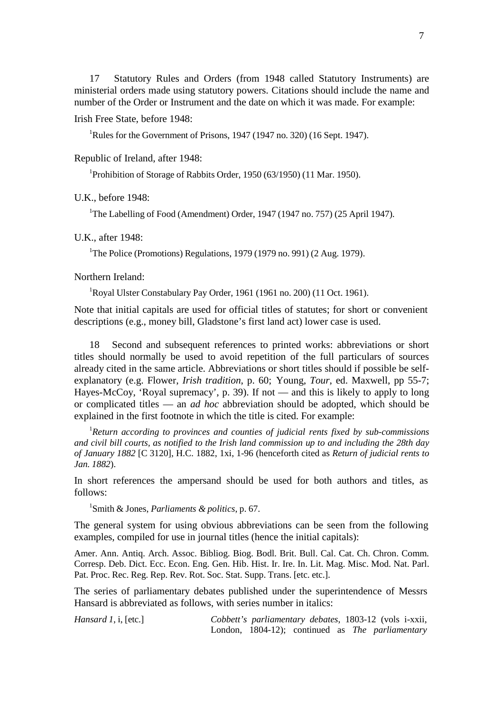17 Statutory Rules and Orders (from 1948 called Statutory Instruments) are ministerial orders made using statutory powers. Citations should include the name and number of the Order or Instrument and the date on which it was made. For example:

Irish Free State, before 1948:

<sup>1</sup>Rules for the Government of Prisons, 1947 (1947 no. 320) (16 Sept. 1947).

Republic of Ireland, after 1948:

<sup>1</sup>Prohibition of Storage of Rabbits Order, 1950 (63/1950) (11 Mar. 1950).

U.K., before 1948:

<sup>1</sup>The Labelling of Food (Amendment) Order, 1947 (1947 no. 757) (25 April 1947).

# U.K., after 1948:

<sup>1</sup>The Police (Promotions) Regulations, 1979 (1979 no. 991) (2 Aug. 1979).

Northern Ireland:

<sup>1</sup>Royal Ulster Constabulary Pay Order, 1961 (1961 no. 200) (11 Oct. 1961).

Note that initial capitals are used for official titles of statutes; for short or convenient descriptions (e.g., money bill, Gladstone's first land act) lower case is used.

18 Second and subsequent references to printed works: abbreviations or short titles should normally be used to avoid repetition of the full particulars of sources already cited in the same article. Abbreviations or short titles should if possible be selfexplanatory (e.g. Flower, *Irish tradition*, p. 60; Young, *Tour*, ed. Maxwell, pp 55-7; Hayes-McCoy, 'Royal supremacy', p. 39). If not — and this is likely to apply to long or complicated titles — an *ad hoc* abbreviation should be adopted, which should be explained in the first footnote in which the title is cited. For example:

1 *Return according to provinces and counties of judicial rents fixed by sub-commissions and civil bill courts, as notified to the Irish land commission up to and including the 28th day of January 1882* [C 3120], H.C. 1882, 1xi, 1-96 (henceforth cited as *Return of judicial rents to Jan. 1882*).

In short references the ampersand should be used for both authors and titles, as follows:

1 Smith & Jones, *Parliaments & politics*, p. 67.

The general system for using obvious abbreviations can be seen from the following examples, compiled for use in journal titles (hence the initial capitals):

Amer. Ann. Antiq. Arch. Assoc. Bibliog. Biog. Bodl. Brit. Bull. Cal. Cat. Ch. Chron. Comm. Corresp. Deb. Dict. Ecc. Econ. Eng. Gen. Hib. Hist. Ir. Ire. In. Lit. Mag. Misc. Mod. Nat. Parl. Pat. Proc. Rec. Reg. Rep. Rev. Rot. Soc. Stat. Supp. Trans. [etc. etc.].

The series of parliamentary debates published under the superintendence of Messrs Hansard is abbreviated as follows, with series number in italics:

*Hansard 1*, i, [etc.] *Cobbett's parliamentary debates*, 1803-12 (vols i-xxii, London, 1804-12); continued as *The parliamentary*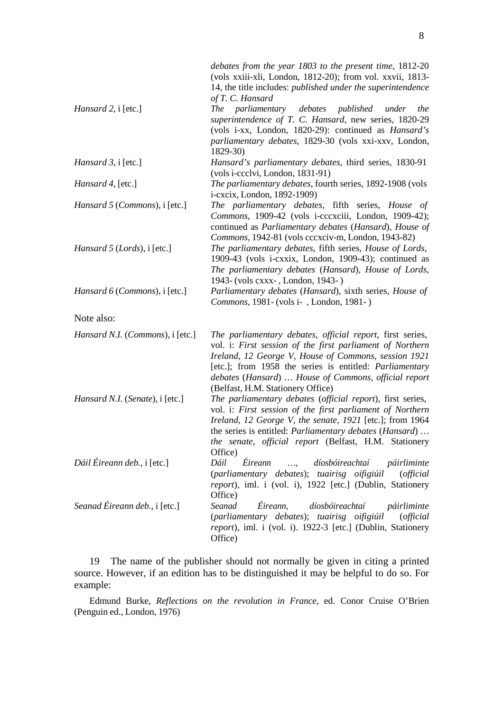|                                  | debates from the year 1803 to the present time, 1812-20<br>(vols xxiii-xli, London, 1812-20); from vol. xxvii, 1813-<br>14, the title includes: <i>published under the superintendence</i><br>of T. C. Hansard                                                                                                                                |
|----------------------------------|-----------------------------------------------------------------------------------------------------------------------------------------------------------------------------------------------------------------------------------------------------------------------------------------------------------------------------------------------|
| Hansard 2, i [etc.]              | The parliamentary<br>debates<br>published<br>the<br>under<br>superintendence of T. C. Hansard, new series, 1820-29<br>(vols i-xx, London, 1820-29): continued as <i>Hansard's</i><br>parliamentary debates, 1829-30 (vols xxi-xxv, London,<br>1829-30)                                                                                        |
| Hansard 3, i [etc.]              | Hansard's parliamentary debates, third series, 1830-91<br>(vols i-ccclvi, London, 1831-91)                                                                                                                                                                                                                                                    |
| Hansard 4, [etc.]                | The parliamentary debates, fourth series, 1892-1908 (vols<br>i-cxcix, London, 1892-1909)                                                                                                                                                                                                                                                      |
| Hansard 5 (Commons), i [etc.]    | The parliamentary debates, fifth series, House of<br>Commons, 1909-42 (vols i-cccxciii, London, 1909-42);<br>continued as Parliamentary debates (Hansard), House of<br>Commons, 1942-81 (vols cccxciv-m, London, 1943-82)                                                                                                                     |
| Hansard 5 (Lords), i [etc.]      | The parliamentary debates, fifth series, House of Lords,<br>1909-43 (vols i-cxxix, London, 1909-43); continued as<br>The parliamentary debates (Hansard), House of Lords,<br>1943- (vols cxxx-, London, 1943-)                                                                                                                                |
| Hansard 6 (Commons), i [etc.]    | Parliamentary debates (Hansard), sixth series, House of<br>Commons, 1981 - (vols i -, London, 1981 -)                                                                                                                                                                                                                                         |
| Note also:                       |                                                                                                                                                                                                                                                                                                                                               |
| Hansard N.I. (Commons), i [etc.] | The parliamentary debates, official report, first series,<br>vol. i: First session of the first parliament of Northern<br>Ireland, 12 George V, House of Commons, session 1921<br>[etc.]; from 1958 the series is entitled: <i>Parliamentary</i><br>debates (Hansard)  House of Commons, official report<br>(Belfast, H.M. Stationery Office) |
| Hansard N.I. (Senate), i [etc.]  | The parliamentary debates (official report), first series,<br>vol. i: First session of the first parliament of Northern<br>Ireland, 12 George V, the senate, 1921 [etc.]; from 1964<br>the series is entitled: <i>Parliamentary debates</i> ( <i>Hansard</i> )<br>the senate, official report (Belfast, H.M. Stationery<br>Office)            |
| Dáil Éireann deb., i [etc.]      | Éireann<br>díosbóireachtaí<br>Dáil<br>páirliminte<br>$\cdots$<br>(parliamentary debates); tuairisg oifigiúil<br><i>(official</i><br>report), iml. i (vol. i), 1922 [etc.] (Dublin, Stationery<br>Office)                                                                                                                                      |
| Seanad Éireann deb., i [etc.]    | Éireann,<br>díosbóireachtaí<br>Seanad<br>páirliminte<br>(parliamentary debates); tuairisg oifigiúil<br><i>(official</i> )<br>report), iml. i (vol. i). 1922-3 [etc.] (Dublin, Stationery<br>Office)                                                                                                                                           |

19 The name of the publisher should not normally be given in citing a printed source. However, if an edition has to be distinguished it may be helpful to do so. For example:

Edmund Burke, *Reflections on the revolution in France*, ed. Conor Cruise O'Brien (Penguin ed., London, 1976)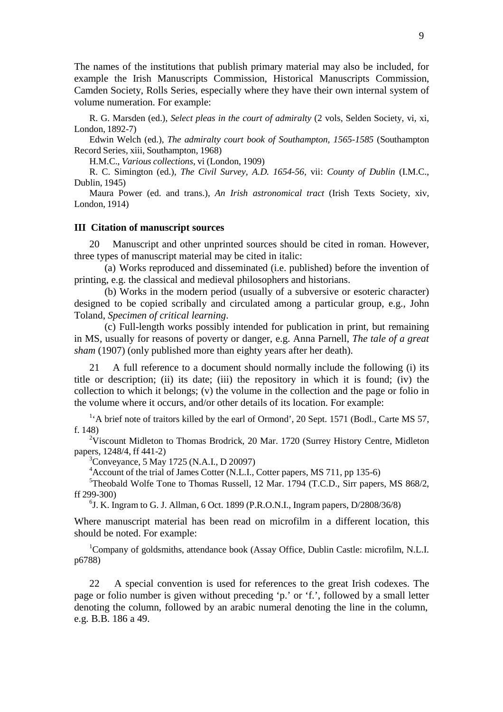The names of the institutions that publish primary material may also be included, for example the Irish Manuscripts Commission, Historical Manuscripts Commission, Camden Society, Rolls Series, especially where they have their own internal system of volume numeration. For example:

R. G. Marsden (ed.), *Select pleas in the court of admiralty* (2 vols, Selden Society, vi, xi, London, 1892-7)

Edwin Welch (ed.), *The admiralty court book of Southampton, 1565-1585* (Southampton Record Series, xiii, Southampton, 1968)

H.M.C., *Various collections*, vi (London, 1909)

R. C. Simington (ed.), *The Civil Survey, A.D. 1654-56*, vii: *County of Dublin* (I.M.C., Dublin, 1945)

Maura Power (ed. and trans.), *An Irish astronomical tract* (Irish Texts Society, xiv, London, 1914)

## **III Citation of manuscript sources**

Manuscript and other unprinted sources should be cited in roman. However, three types of manuscript material may be cited in italic:

(a) Works reproduced and disseminated (i.e. published) before the invention of printing, e.g. the classical and medieval philosophers and historians.

(b) Works in the modern period (usually of a subversive or esoteric character) designed to be copied scribally and circulated among a particular group, e.g., John Toland, *Specimen of critical learning*.

(c) Full-length works possibly intended for publication in print, but remaining in MS, usually for reasons of poverty or danger, e.g. Anna Parnell, *The tale of a great sham* (1907) (only published more than eighty years after her death).

21 A full reference to a document should normally include the following (i) its title or description; (ii) its date; (iii) the repository in which it is found; (iv) the collection to which it belongs; (v) the volume in the collection and the page or folio in the volume where it occurs, and/or other details of its location. For example:

<sup>1</sup>'A brief note of traitors killed by the earl of Ormond', 20 Sept. 1571 (Bodl., Carte MS 57, f. 148)

<sup>2</sup>Viscount Midleton to Thomas Brodrick, 20 Mar. 1720 (Surrey History Centre, Midleton papers, 1248/4, ff 441-2)

3 Conveyance, 5 May 1725 (N.A.I., D 20097)

<sup>4</sup> Account of the trial of James Cotter (N.L.I., Cotter papers, MS 711, pp 135-6)

<sup>5</sup>Theobald Wolfe Tone to Thomas Russell, 12 Mar. 1794 (T.C.D., Sirr papers, MS 868/2, ff 299-300)

6 J. K. Ingram to G. J. Allman, 6 Oct. 1899 (P.R.O.N.I., Ingram papers, D/2808/36/8)

Where manuscript material has been read on microfilm in a different location, this should be noted. For example:

<sup>1</sup>Company of goldsmiths, attendance book (Assay Office, Dublin Castle: microfilm, N.L.I. p6788)

22 A special convention is used for references to the great Irish codexes. The page or folio number is given without preceding 'p.' or 'f.', followed by a small letter denoting the column, followed by an arabic numeral denoting the line in the column, e.g. B.B. 186 a 49.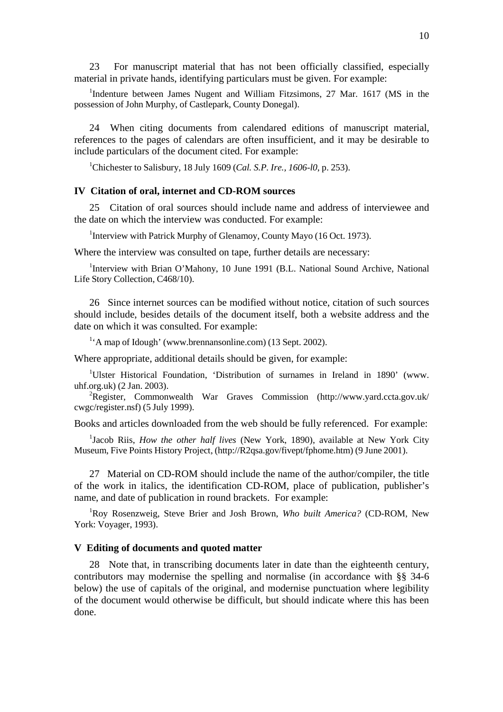23 For manuscript material that has not been officially classified, especially material in private hands, identifying particulars must be given. For example:

<sup>1</sup>Indenture between James Nugent and William Fitzsimons, 27 Mar. 1617 (MS in the possession of John Murphy, of Castlepark, County Donegal).

24 When citing documents from calendared editions of manuscript material, references to the pages of calendars are often insufficient, and it may be desirable to include particulars of the document cited. For example:

1 Chichester to Salisbury, 18 July 1609 (*Cal. S.P. Ire., 1606-l0*, p. 253).

### **IV Citation of oral, internet and CD-ROM sources**

25 Citation of oral sources should include name and address of interviewee and the date on which the interview was conducted. For example:

<sup>1</sup>Interview with Patrick Murphy of Glenamoy, County Mayo (16 Oct. 1973).

Where the interview was consulted on tape, further details are necessary:

<sup>1</sup>Interview with Brian O'Mahony, 10 June 1991 (B.L. National Sound Archive, National Life Story Collection, C468/10).

26 Since internet sources can be modified without notice, citation of such sources should include, besides details of the document itself, both a website address and the date on which it was consulted. For example:

<sup>1</sup>'A map of Idough' (www.brennansonline.com) (13 Sept. 2002).

Where appropriate, additional details should be given, for example:

<sup>1</sup>Ulster Historical Foundation, 'Distribution of surnames in Ireland in 1890' [\(www.](http://www/) uhf.org.uk) (2 Jan. 2003).

<sup>2</sup>Register, Commonwealth War Graves Commission [\(http://www.yard.ccta.gov.uk/](http://www.yard.ccta.gov.uk/) cwgc/register.nsf) (5 July 1999).

Books and articles downloaded from the web should be fully referenced. For example:

1 Jacob Riis, *How the other half lives* (New York, 1890), available at New York City Museum, Five Points History Project, [\(http://R2qsa.gov/fivept/fphome.htm\)](http://r2qsa.gov/fivept/fphome.htm)) (9 June 2001).

27 Material on CD-ROM should include the name of the author/compiler, the title of the work in italics, the identification CD-ROM, place of publication, publisher's name, and date of publication in round brackets. For example:

1 Roy Rosenzweig, Steve Brier and Josh Brown, *Who built America?* (CD-ROM, New York: Voyager, 1993).

### **V Editing of documents and quoted matter**

28 Note that, in transcribing documents later in date than the eighteenth century, contributors may modernise the spelling and normalise (in accordance with §§ 34-6 below) the use of capitals of the original, and modernise punctuation where legibility of the document would otherwise be difficult, but should indicate where this has been done.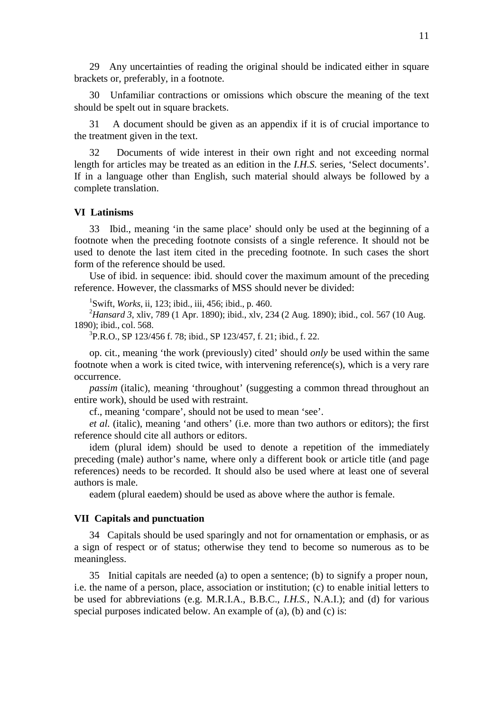29 Any uncertainties of reading the original should be indicated either in square brackets or, preferably, in a footnote.

30 Unfamiliar contractions or omissions which obscure the meaning of the text should be spelt out in square brackets.

31 A document should be given as an appendix if it is of crucial importance to the treatment given in the text.

32 Documents of wide interest in their own right and not exceeding normal length for articles may be treated as an edition in the *I.H.S.* series, 'Select documents'. If in a language other than English, such material should always be followed by a complete translation.

# **VI Latinisms**

33 Ibid., meaning 'in the same place' should only be used at the beginning of a footnote when the preceding footnote consists of a single reference. It should not be used to denote the last item cited in the preceding footnote. In such cases the short form of the reference should be used.

Use of ibid. in sequence: ibid. should cover the maximum amount of the preceding reference. However, the classmarks of MSS should never be divided:

1 Swift, *Works*, ii, 123; ibid., iii, 456; ibid., p. 460.

2 *Hansard 3*, xliv, 789 (1 Apr. 1890); ibid., xlv, 234 (2 Aug. 1890); ibid., col. 567 (10 Aug. 1890); ibid., col. 568.

3 P.R.O., SP 123/456 f. 78; ibid., SP 123/457, f. 21; ibid., f. 22.

op. cit., meaning 'the work (previously) cited' should *only* be used within the same footnote when a work is cited twice, with intervening reference(s), which is a very rare occurrence.

*passim* (italic), meaning 'throughout' (suggesting a common thread throughout an entire work), should be used with restraint.

cf., meaning 'compare', should not be used to mean 'see'.

*et al.* (italic), meaning 'and others' (i.e. more than two authors or editors); the first reference should cite all authors or editors.

idem (plural idem) should be used to denote a repetition of the immediately preceding (male) author's name, where only a different book or article title (and page references) needs to be recorded. It should also be used where at least one of several authors is male.

eadem (plural eaedem) should be used as above where the author is female.

# **VII Capitals and punctuation**

34 Capitals should be used sparingly and not for ornamentation or emphasis, or as a sign of respect or of status; otherwise they tend to become so numerous as to be meaningless.

35 Initial capitals are needed (a) to open a sentence; (b) to signify a proper noun, i.e. the name of a person, place, association or institution; (c) to enable initial letters to be used for abbreviations (e.g. M.R.I.A., B.B.C., *I.H.S.*, N.A.I.); and (d) for various special purposes indicated below. An example of (a), (b) and (c) is: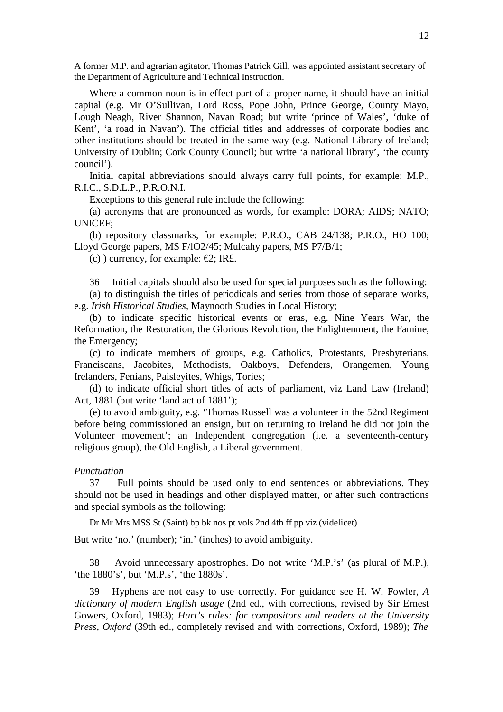A former M.P. and agrarian agitator, Thomas Patrick Gill, was appointed assistant secretary of the Department of Agriculture and Technical Instruction.

Where a common noun is in effect part of a proper name, it should have an initial capital (e.g. Mr O'Sullivan, Lord Ross, Pope John, Prince George, County Mayo, Lough Neagh, River Shannon, Navan Road; but write 'prince of Wales', 'duke of Kent', 'a road in Navan'). The official titles and addresses of corporate bodies and other institutions should be treated in the same way (e.g. National Library of Ireland; University of Dublin; Cork County Council; but write 'a national library', 'the county council').

Initial capital abbreviations should always carry full points, for example: M.P., R.I.C., S.D.L.P., P.R.O.N.I.

Exceptions to this general rule include the following:

(a) acronyms that are pronounced as words, for example: DORA; AIDS; NATO; UNICEF;

(b) repository classmarks, for example: P.R.O., CAB 24/138; P.R.O., HO 100; Lloyd George papers, MS F/lO2/45; Mulcahy papers, MS P7/B/1;

(c) ) currency, for example:  $\epsilon$ 2; IR£.

36 Initial capitals should also be used for special purposes such as the following:

(a) to distinguish the titles of periodicals and series from those of separate works, e.g. *Irish Historical Studies*, Maynooth Studies in Local History;

(b) to indicate specific historical events or eras, e.g. Nine Years War, the Reformation, the Restoration, the Glorious Revolution, the Enlightenment, the Famine, the Emergency;

(c) to indicate members of groups, e.g. Catholics, Protestants, Presbyterians, Franciscans, Jacobites, Methodists, Oakboys, Defenders, Orangemen, Young Irelanders, Fenians, Paisleyites, Whigs, Tories;

(d) to indicate official short titles of acts of parliament, viz Land Law (Ireland) Act, 1881 (but write 'land act of 1881');

(e) to avoid ambiguity, e.g. 'Thomas Russell was a volunteer in the 52nd Regiment before being commissioned an ensign, but on returning to Ireland he did not join the Volunteer movement'; an Independent congregation (i.e. a seventeenth-century religious group), the Old English, a Liberal government.

# *Punctuation*

37 Full points should be used only to end sentences or abbreviations. They should not be used in headings and other displayed matter, or after such contractions and special symbols as the following:

Dr Mr Mrs MSS St (Saint) bp bk nos pt vols 2nd 4th ff pp viz (videlicet)

But write 'no.' (number); 'in.' (inches) to avoid ambiguity.

38 Avoid unnecessary apostrophes. Do not write 'M.P.'s' (as plural of M.P.), 'the 1880's', but 'M.P.s', 'the 1880s'.

39 Hyphens are not easy to use correctly. For guidance see H. W. Fowler, *A dictionary of modern English usage* (2nd ed., with corrections, revised by Sir Ernest Gowers, Oxford, 1983); *Hart's rules: for compositors and readers at the University Press, Oxford* (39th ed., completely revised and with corrections, Oxford, 1989); *The*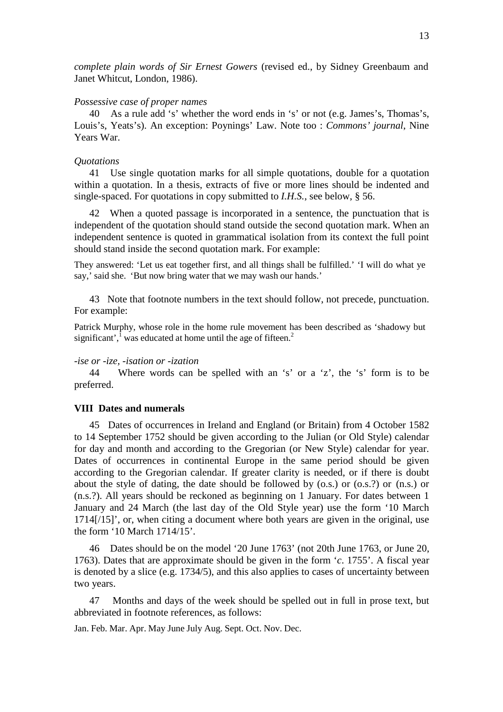*complete plain words of Sir Ernest Gowers* (revised ed., by Sidney Greenbaum and Janet Whitcut, London, 1986).

#### *Possessive case of proper names*

40 As a rule add 's' whether the word ends in 's' or not (e.g. James's, Thomas's, Louis's, Yeats's). An exception: Poynings' Law. Note too : *Commons' journal*, Nine Years War.

## *Quotations*

41 Use single quotation marks for all simple quotations, double for a quotation within a quotation. In a thesis, extracts of five or more lines should be indented and single-spaced. For quotations in copy submitted to *I.H.S.*, see below, § 56.

42 When a quoted passage is incorporated in a sentence, the punctuation that is independent of the quotation should stand outside the second quotation mark. When an independent sentence is quoted in grammatical isolation from its context the full point should stand inside the second quotation mark. For example:

They answered: 'Let us eat together first, and all things shall be fulfilled.' 'I will do what ye say,' said she. 'But now bring water that we may wash our hands.'

43 Note that footnote numbers in the text should follow, not precede, punctuation. For example:

Patrick Murphy, whose role in the home rule movement has been described as 'shadowy but significant', $\frac{1}{1}$  was educated at home until the age of fifteen.<sup>2</sup>

#### *-ise or -ize, -isation or -ization*

44 Where words can be spelled with an 's' or a 'z', the 's' form is to be preferred.

## **VIII Dates and numerals**

45 Dates of occurrences in Ireland and England (or Britain) from 4 October 1582 to 14 September 1752 should be given according to the Julian (or Old Style) calendar for day and month and according to the Gregorian (or New Style) calendar for year. Dates of occurrences in continental Europe in the same period should be given according to the Gregorian calendar. If greater clarity is needed, or if there is doubt about the style of dating, the date should be followed by  $(0.s.)$  or  $(0.s.)$  or  $(n.s.)$  or (n.s.?). All years should be reckoned as beginning on 1 January. For dates between 1 January and 24 March (the last day of the Old Style year) use the form '10 March 1714[/15]', or, when citing a document where both years are given in the original, use the form '10 March 1714/15'.

46 Dates should be on the model '20 June 1763' (not 20th June 1763, or June 20, 1763). Dates that are approximate should be given in the form '*c*. 1755'. A fiscal year is denoted by a slice (e.g. 1734/5), and this also applies to cases of uncertainty between two years.

47 Months and days of the week should be spelled out in full in prose text, but abbreviated in footnote references, as follows:

Jan. Feb. Mar. Apr. May June July Aug. Sept. Oct. Nov. Dec.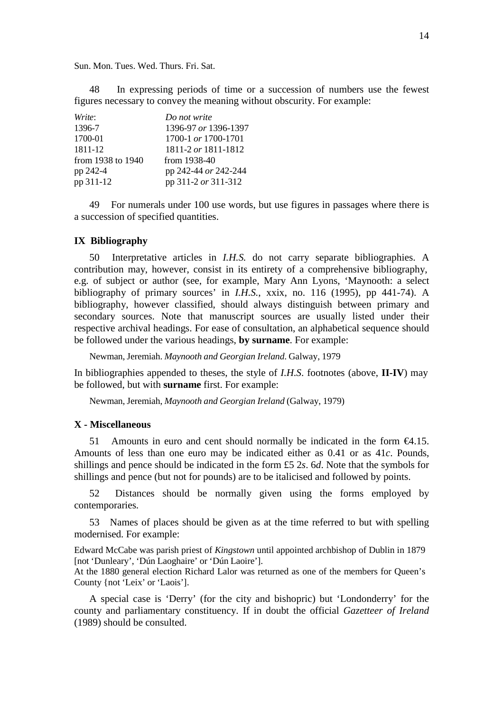Sun. Mon. Tues. Wed. Thurs. Fri. Sat.

48 In expressing periods of time or a succession of numbers use the fewest figures necessary to convey the meaning without obscurity. For example:

| Write:            | Do not write         |
|-------------------|----------------------|
| 1396-7            | 1396-97 or 1396-1397 |
| 1700-01           | 1700-1 or 1700-1701  |
| 1811-12           | 1811-2 or 1811-1812  |
| from 1938 to 1940 | from $1938-40$       |
| pp 242-4          | pp 242-44 or 242-244 |
| pp 311-12         | pp 311-2 or 311-312  |

49 For numerals under 100 use words, but use figures in passages where there is a succession of specified quantities.

# **IX Bibliography**

50 Interpretative articles in *I.H.S.* do not carry separate bibliographies. A contribution may, however, consist in its entirety of a comprehensive bibliography, e.g. of subject or author (see, for example, Mary Ann Lyons, 'Maynooth: a select bibliography of primary sources' in *I.H.S.*, xxix, no. 116 (1995), pp 441-74). A bibliography, however classified, should always distinguish between primary and secondary sources. Note that manuscript sources are usually listed under their respective archival headings. For ease of consultation, an alphabetical sequence should be followed under the various headings, **by surname**. For example:

Newman, Jeremiah. *Maynooth and Georgian Ireland*. Galway, 1979

In bibliographies appended to theses, the style of *I.H.S*. footnotes (above, **II-IV**) may be followed, but with **surname** first. For example:

Newman, Jeremiah, *Maynooth and Georgian Ireland* (Galway, 1979)

# **X - Miscellaneous**

51 Amounts in euro and cent should normally be indicated in the form  $C4.15$ . Amounts of less than one euro may be indicated either as 0.41 or as 41*c*. Pounds, shillings and pence should be indicated in the form £5 2*s*. 6*d*. Note that the symbols for shillings and pence (but not for pounds) are to be italicised and followed by points.

52 Distances should be normally given using the forms employed by contemporaries.

53 Names of places should be given as at the time referred to but with spelling modernised. For example:

Edward McCabe was parish priest of *Kingstown* until appointed archbishop of Dublin in 1879 [not 'Dunleary', 'Dún Laoghaire' or 'Dún Laoire'].

At the 1880 general election Richard Lalor was returned as one of the members for Queen's County {not 'Leix' or 'Laois'].

A special case is 'Derry' (for the city and bishopric) but 'Londonderry' for the county and parliamentary constituency. If in doubt the official *Gazetteer of Ireland* (1989) should be consulted.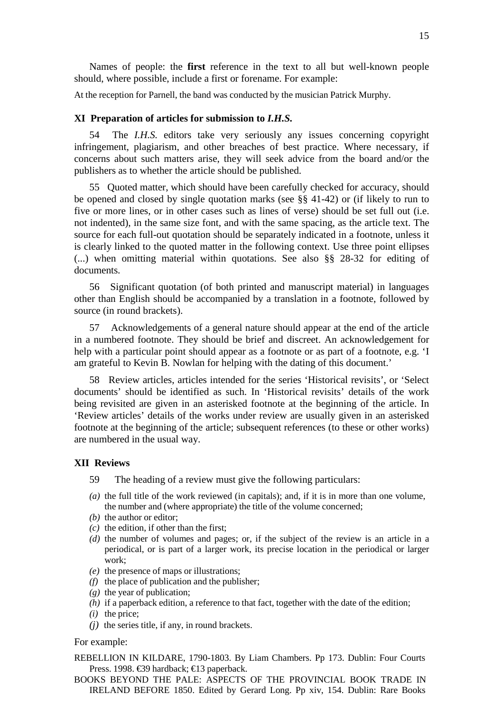At the reception for Parnell, the band was conducted by the musician Patrick Murphy.

#### **XI Preparation of articles for submission to** *I.H.S.*

54 The *I.H.S.* editors take very seriously any issues concerning copyright infringement, plagiarism, and other breaches of best practice. Where necessary, if concerns about such matters arise, they will seek advice from the board and/or the publishers as to whether the article should be published.

55 Quoted matter, which should have been carefully checked for accuracy, should be opened and closed by single quotation marks (see §§ 41-42) or (if likely to run to five or more lines, or in other cases such as lines of verse) should be set full out (i.e. not indented), in the same size font, and with the same spacing, as the article text. The source for each full-out quotation should be separately indicated in a footnote, unless it is clearly linked to the quoted matter in the following context. Use three point ellipses (...) when omitting material within quotations. See also §§ 28-32 for editing of documents.

56 Significant quotation (of both printed and manuscript material) in languages other than English should be accompanied by a translation in a footnote, followed by source (in round brackets).

57 Acknowledgements of a general nature should appear at the end of the article in a numbered footnote. They should be brief and discreet. An acknowledgement for help with a particular point should appear as a footnote or as part of a footnote, e.g. 'I am grateful to Kevin B. Nowlan for helping with the dating of this document.'

58 Review articles, articles intended for the series 'Historical revisits', or 'Select documents' should be identified as such. In 'Historical revisits' details of the work being revisited are given in an asterisked footnote at the beginning of the article. In 'Review articles' details of the works under review are usually given in an asterisked footnote at the beginning of the article; subsequent references (to these or other works) are numbered in the usual way.

#### **XII Reviews**

- 59 The heading of a review must give the following particulars:
- *(a)* the full title of the work reviewed (in capitals); and, if it is in more than one volume, the number and (where appropriate) the title of the volume concerned;
- *(b)* the author or editor;
- *(c)* the edition, if other than the first;
- *(d)* the number of volumes and pages; or, if the subject of the review is an article in a periodical, or is part of a larger work, its precise location in the periodical or larger work;
- *(e)* the presence of maps or illustrations;
- *(f)* the place of publication and the publisher;
- *(g)* the year of publication;
- *(h)* if a paperback edition, a reference to that fact, together with the date of the edition;
- *(i)* the price;
- *(j)* the series title, if any, in round brackets.

#### For example:

REBELLION IN KILDARE, 1790-1803. By Liam Chambers. Pp 173. Dublin: Four Courts Press. 1998. €39 hardback; €13 paperback.

BOOKS BEYOND THE PALE: ASPECTS OF THE PROVINCIAL BOOK TRADE IN IRELAND BEFORE 1850. Edited by Gerard Long. Pp xiv, 154. Dublin: Rare Books